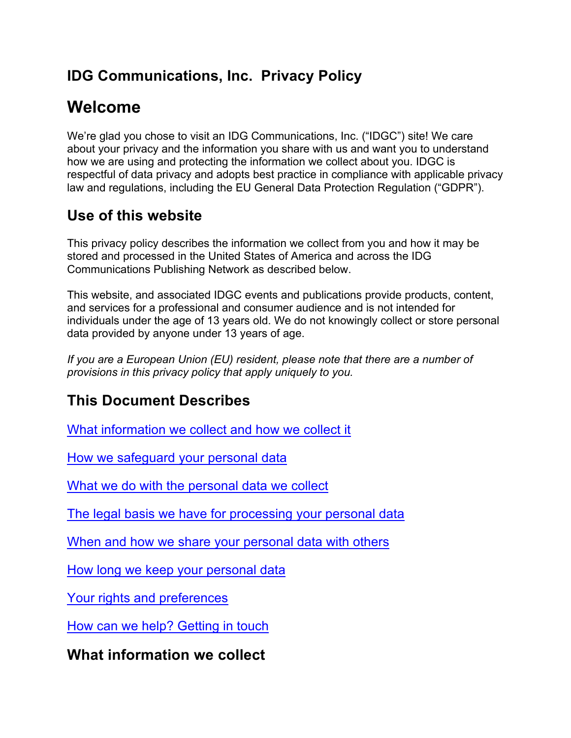# **IDG Communications, Inc. Privacy Policy**

# **Welcome**

We're glad you chose to visit an IDG Communications, Inc. ("IDGC") site! We care about your privacy and the information you share with us and want you to understand how we are using and protecting the information we collect about you. IDGC is respectful of data privacy and adopts best practice in compliance with applicable privacy law and regulations, including the EU General Data Protection Regulation ("GDPR").

# **Use of this website**

This privacy policy describes the information we collect from you and how it may be stored and processed in the United States of America and across the IDG Communications Publishing Network as described below.

This website, and associated IDGC events and publications provide products, content, and services for a professional and consumer audience and is not intended for individuals under the age of 13 years old. We do not knowingly collect or store personal data provided by anyone under 13 years of age.

*If you are a European Union (EU) resident, please note that there are a number of provisions in this privacy policy that apply uniquely to you.* 

# **This Document Describes**

What information we collect and how we collect it

How we safeguard your personal data

What we do with the personal data we collect

The legal basis we have for processing your personal data

When and how we share your personal data with others

How long we keep your personal data

Your rights and preferences

How can we help? Getting in touch

**What information we collect**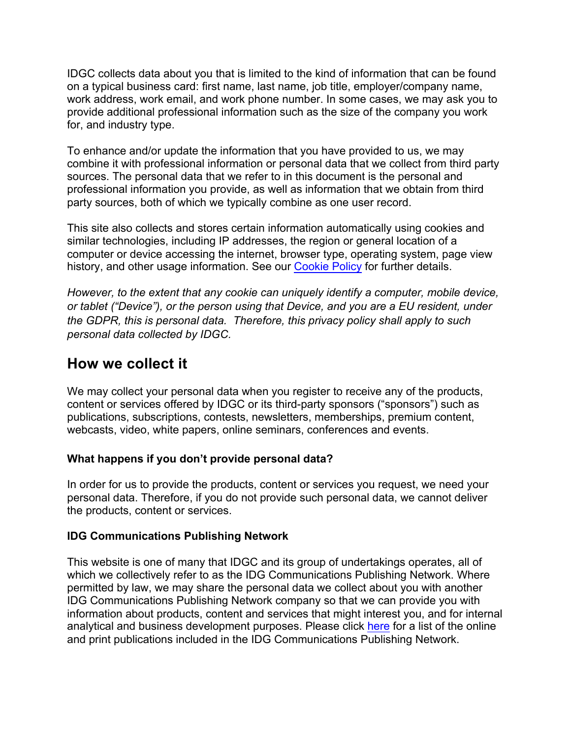IDGC collects data about you that is limited to the kind of information that can be found on a typical business card: first name, last name, job title, employer/company name, work address, work email, and work phone number. In some cases, we may ask you to provide additional professional information such as the size of the company you work for, and industry type.

To enhance and/or update the information that you have provided to us, we may combine it with professional information or personal data that we collect from third party sources. The personal data that we refer to in this document is the personal and professional information you provide, as well as information that we obtain from third party sources, both of which we typically combine as one user record.

This site also collects and stores certain information automatically using cookies and similar technologies, including IP addresses, the region or general location of a computer or device accessing the internet, browser type, operating system, page view history, and other usage information. See our Cookie Policy for further details.

*However, to the extent that any cookie can uniquely identify a computer, mobile device, or tablet ("Device"), or the person using that Device, and you are a EU resident, under the GDPR, this is personal data. Therefore, this privacy policy shall apply to such personal data collected by IDGC.*

### **How we collect it**

We may collect your personal data when you register to receive any of the products, content or services offered by IDGC or its third-party sponsors ("sponsors") such as publications, subscriptions, contests, newsletters, memberships, premium content, webcasts, video, white papers, online seminars, conferences and events.

#### **What happens if you don't provide personal data?**

In order for us to provide the products, content or services you request, we need your personal data. Therefore, if you do not provide such personal data, we cannot deliver the products, content or services.

#### **IDG Communications Publishing Network**

This website is one of many that IDGC and its group of undertakings operates, all of which we collectively refer to as the IDG Communications Publishing Network. Where permitted by law, we may share the personal data we collect about you with another IDG Communications Publishing Network company so that we can provide you with information about products, content and services that might interest you, and for internal analytical and business development purposes. Please click here for a list of the online and print publications included in the IDG Communications Publishing Network.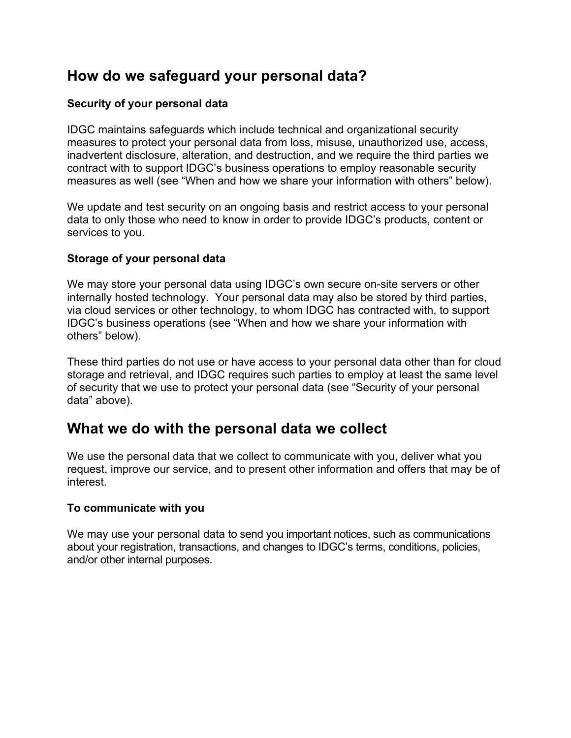### **How do we safeguard your personal data?**

#### **Security of your personal data**

IDGC maintains safeguards which include technical and organizational security measures to protect your personal data from loss, misuse, unauthorized use, access, inadvertent disclosure, alteration, and destruction, and we require the third parties we contract with to support IDGC's business operations to employ reasonable security measures as well (see "When and how we share your information with others" below).

We update and test security on an ongoing basis and restrict access to your personal data to only those who need to know in order to provide IDGC's products, content or services to you.

#### **Storage of your personal data**

We may store your personal data using IDGC's own secure on-site servers or other internally hosted technology. Your personal data may also be stored by third parties, via cloud services or other technology, to whom IDGC has contracted with, to support IDGC's business operations (see "When and how we share your information with others" below).

These third parties do not use or have access to your personal data other than for cloud storage and retrieval, and IDGC requires such parties to employ at least the same level of security that we use to protect your personal data (see "Security of your personal data" above).

### **What we do with the personal data we collect**

We use the personal data that we collect to communicate with you, deliver what you request, improve our service, and to present other information and offers that may be of interest.

#### **To communicate with you**

We may use your personal data to send you important notices, such as communications about your registration, transactions, and changes to IDGC's terms, conditions, policies, and/or other internal purposes.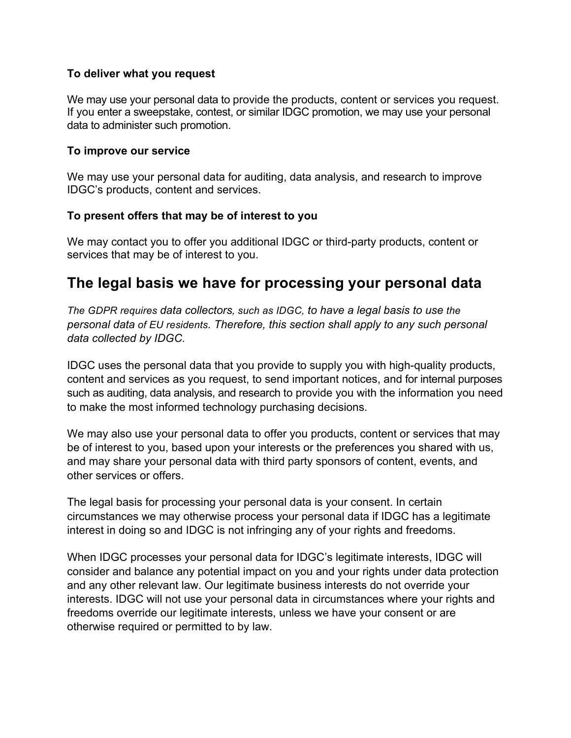#### **To deliver what you request**

We may use your personal data to provide the products, content or services you request. If you enter a sweepstake, contest, or similar IDGC promotion, we may use your personal data to administer such promotion.

#### **To improve our service**

We may use your personal data for auditing, data analysis, and research to improve IDGC's products, content and services.

#### **To present offers that may be of interest to you**

We may contact you to offer you additional IDGC or third-party products, content or services that may be of interest to you.

### **The legal basis we have for processing your personal data**

*The GDPR requires data collectors, such as IDGC, to have a legal basis to use the personal data of EU residents. Therefore, this section shall apply to any such personal data collected by IDGC.*

IDGC uses the personal data that you provide to supply you with high-quality products, content and services as you request, to send important notices, and for internal purposes such as auditing, data analysis, and research to provide you with the information you need to make the most informed technology purchasing decisions.

We may also use your personal data to offer you products, content or services that may be of interest to you, based upon your interests or the preferences you shared with us, and may share your personal data with third party sponsors of content, events, and other services or offers.

The legal basis for processing your personal data is your consent. In certain circumstances we may otherwise process your personal data if IDGC has a legitimate interest in doing so and IDGC is not infringing any of your rights and freedoms.

When IDGC processes your personal data for IDGC's legitimate interests, IDGC will consider and balance any potential impact on you and your rights under data protection and any other relevant law. Our legitimate business interests do not override your interests. IDGC will not use your personal data in circumstances where your rights and freedoms override our legitimate interests, unless we have your consent or are otherwise required or permitted to by law.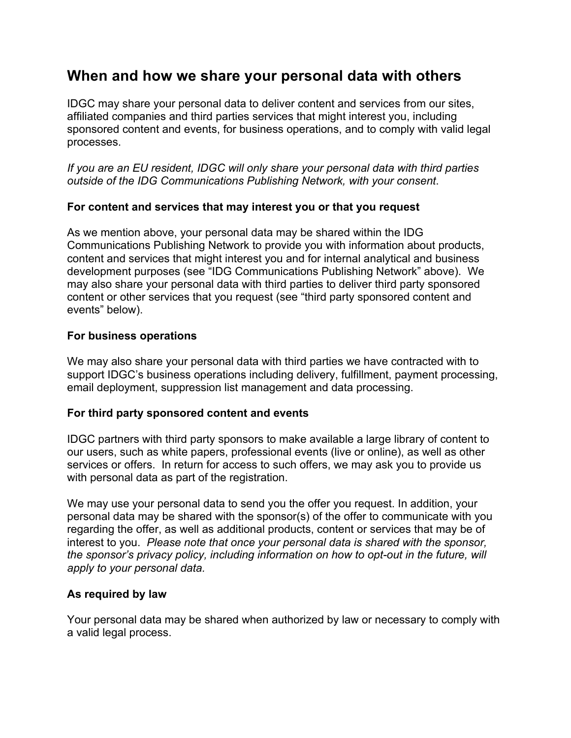### **When and how we share your personal data with others**

IDGC may share your personal data to deliver content and services from our sites, affiliated companies and third parties services that might interest you, including sponsored content and events, for business operations, and to comply with valid legal processes.

*If you are an EU resident, IDGC will only share your personal data with third parties outside of the IDG Communications Publishing Network, with your consent*.

#### **For content and services that may interest you or that you request**

As we mention above, your personal data may be shared within the IDG Communications Publishing Network to provide you with information about products, content and services that might interest you and for internal analytical and business development purposes (see "IDG Communications Publishing Network" above). We may also share your personal data with third parties to deliver third party sponsored content or other services that you request (see "third party sponsored content and events" below).

#### **For business operations**

We may also share your personal data with third parties we have contracted with to support IDGC's business operations including delivery, fulfillment, payment processing, email deployment, suppression list management and data processing.

#### **For third party sponsored content and events**

IDGC partners with third party sponsors to make available a large library of content to our users, such as white papers, professional events (live or online), as well as other services or offers. In return for access to such offers, we may ask you to provide us with personal data as part of the registration.

We may use your personal data to send you the offer you request. In addition, your personal data may be shared with the sponsor(s) of the offer to communicate with you regarding the offer, as well as additional products, content or services that may be of interest to you. *Please note that once your personal data is shared with the sponsor, the sponsor's privacy policy, including information on how to opt-out in the future, will apply to your personal data.*

#### **As required by law**

Your personal data may be shared when authorized by law or necessary to comply with a valid legal process.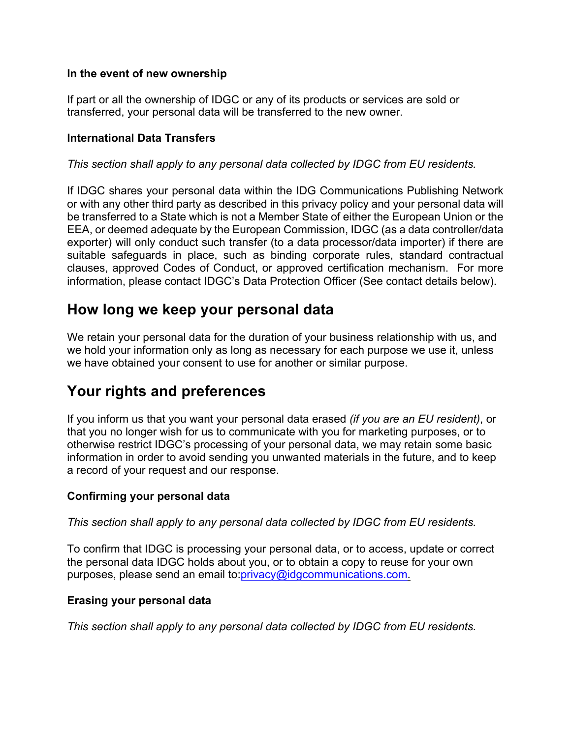#### **In the event of new ownership**

If part or all the ownership of IDGC or any of its products or services are sold or transferred, your personal data will be transferred to the new owner.

#### **International Data Transfers**

*This section shall apply to any personal data collected by IDGC from EU residents.*

If IDGC shares your personal data within the IDG Communications Publishing Network or with any other third party as described in this privacy policy and your personal data will be transferred to a State which is not a Member State of either the European Union or the EEA, or deemed adequate by the European Commission, IDGC (as a data controller/data exporter) will only conduct such transfer (to a data processor/data importer) if there are suitable safeguards in place, such as binding corporate rules, standard contractual clauses, approved Codes of Conduct, or approved certification mechanism. For more information, please contact IDGC's Data Protection Officer (See contact details below).

### **How long we keep your personal data**

We retain your personal data for the duration of your business relationship with us, and we hold your information only as long as necessary for each purpose we use it, unless we have obtained your consent to use for another or similar purpose.

### **Your rights and preferences**

If you inform us that you want your personal data erased *(if you are an EU resident)*, or that you no longer wish for us to communicate with you for marketing purposes, or to otherwise restrict IDGC's processing of your personal data, we may retain some basic information in order to avoid sending you unwanted materials in the future, and to keep a record of your request and our response.

#### **Confirming your personal data**

*This section shall apply to any personal data collected by IDGC from EU residents.*

To confirm that IDGC is processing your personal data, or to access, update or correct the personal data IDGC holds about you, or to obtain a copy to reuse for your own purposes, please send an email to:privacy@idgcommunications.com.

#### **Erasing your personal data**

*This section shall apply to any personal data collected by IDGC from EU residents.*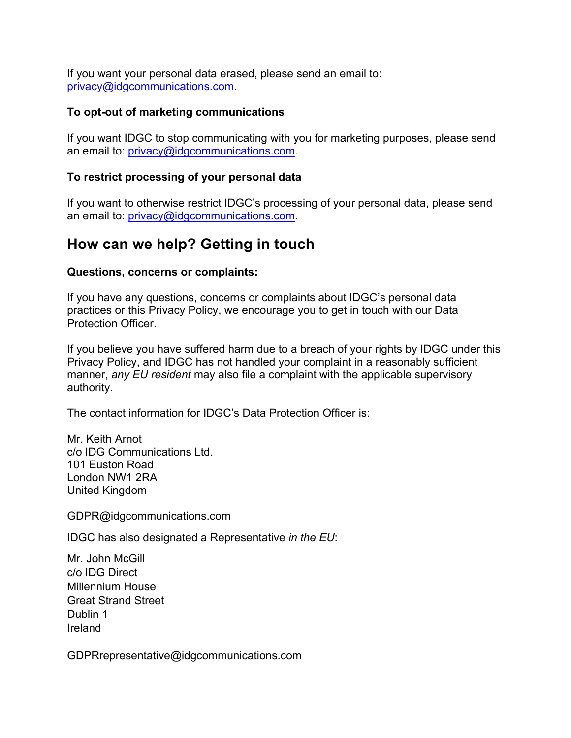If you want your personal data erased, please send an email to: privacy@idgcommunications.com.

#### **To opt-out of marketing communications**

If you want IDGC to stop communicating with you for marketing purposes, please send an email to: privacy@idgcommunications.com.

#### **To restrict processing of your personal data**

If you want to otherwise restrict IDGC's processing of your personal data, please send an email to: privacy@idgcommunications.com.

### **How can we help? Getting in touch**

#### **Questions, concerns or complaints:**

If you have any questions, concerns or complaints about IDGC's personal data practices or this Privacy Policy, we encourage you to get in touch with our Data Protection Officer.

If you believe you have suffered harm due to a breach of your rights by IDGC under this Privacy Policy, and IDGC has not handled your complaint in a reasonably sufficient manner, *any EU resident* may also file a complaint with the applicable supervisory authority.

The contact information for IDGC's Data Protection Officer is:

Mr. Keith Arnot c/o IDG Communications Ltd. 101 Euston Road London NW1 2RA United Kingdom

GDPR@idgcommunications.com

IDGC has also designated a Representative *in the EU*:

Mr. John McGill c/o IDG Direct Millennium House Great Strand Street Dublin 1 Ireland

GDPRrepresentative@idgcommunications.com